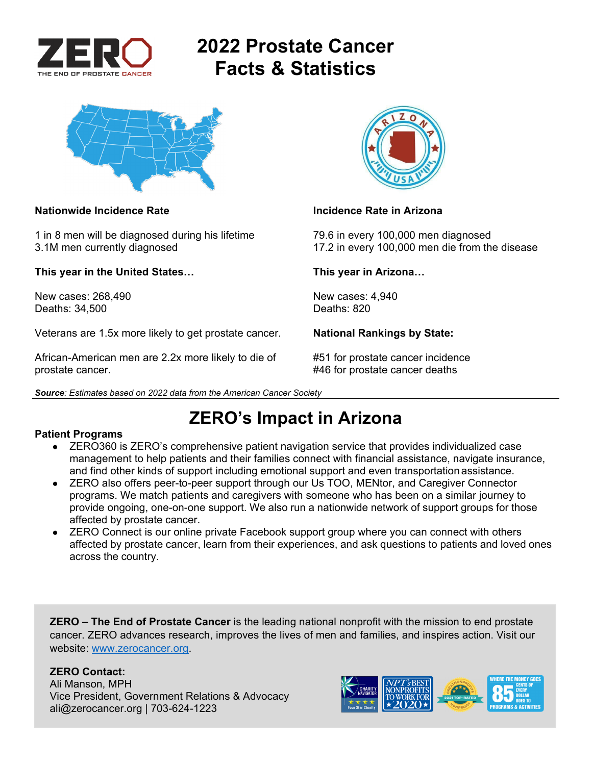

# **2022 Prostate Cancer Facts & Statistics**



### **Nationwide Incidence Rate Incidence Rate in Arizona**

1 in 8 men will be diagnosed during his lifetime 79.6 in every 100,000 men diagnosed

**This year in the United States… This year in Arizona…** 

New cases: 268,490 New cases: 4,940 Deaths: 34,500

Veterans are 1.5x more likely to get prostate cancer. **National Rankings by State:** 

African-American men are 2.2x more likely to die of #51 for prostate cancer incidence prostate cancer. **At a set of the set of the set of the set of the set of the set of the set of the set of the set of the set of the set of the set of the set of the set of the set of the set of the set of the set of the s** 





3.1M men currently diagnosed 17.2 in every 100,000 men die from the disease

## **ZERO's Impact in Arizona**

### **Patient Programs**

- ZERO360 is ZERO's comprehensive patient navigation service that provides individualized case management to help patients and their families connect with financial assistance, navigate insurance, and find other kinds of support including emotional support and even transportation assistance.
- ZERO also offers peer-to-peer support through our Us TOO, MENtor, and Caregiver Connector programs. We match patients and caregivers with someone who has been on a similar journey to provide ongoing, one-on-one support. We also run a nationwide network of support groups for those affected by prostate cancer.
- ZERO Connect is our online private Facebook support group where you can connect with others affected by prostate cancer, learn from their experiences, and ask questions to patients and loved ones across the country.

**ZERO – The End of Prostate Cancer** is the leading national nonprofit with the mission to end prostate cancer. ZERO advances research, improves the lives of men and families, and inspires action. Visit our website: www.zerocancer.org.

### **ZERO Contact:**

Ali Manson, MPH Vice President, Government Relations & Advocacy ali@zerocancer.org | 703-624-1223